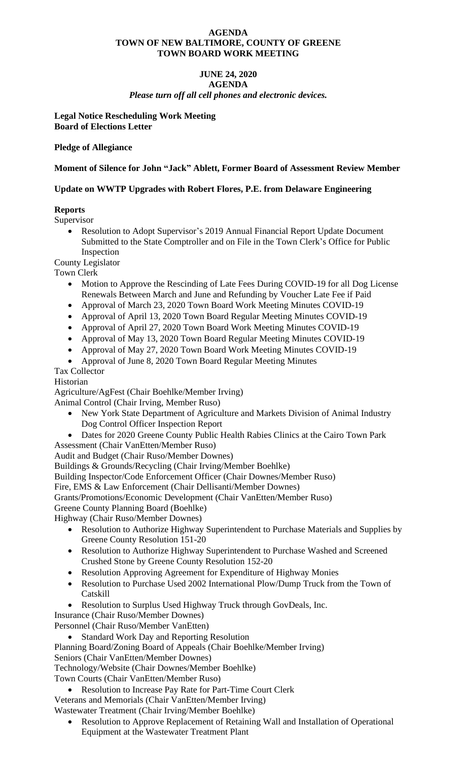### **AGENDA TOWN OF NEW BALTIMORE, COUNTY OF GREENE TOWN BOARD WORK MEETING**

### **JUNE 24, 2020 AGENDA** *Please turn off all cell phones and electronic devices.*

**Legal Notice Rescheduling Work Meeting Board of Elections Letter** 

**Pledge of Allegiance**

# **Moment of Silence for John "Jack" Ablett, Former Board of Assessment Review Member**

# **Update on WWTP Upgrades with Robert Flores, P.E. from Delaware Engineering**

# **Reports**

Supervisor

• Resolution to Adopt Supervisor's 2019 Annual Financial Report Update Document Submitted to the State Comptroller and on File in the Town Clerk's Office for Public Inspection

County Legislator

Town Clerk

- Motion to Approve the Rescinding of Late Fees During COVID-19 for all Dog License Renewals Between March and June and Refunding by Voucher Late Fee if Paid
- Approval of March 23, 2020 Town Board Work Meeting Minutes COVID-19
- Approval of April 13, 2020 Town Board Regular Meeting Minutes COVID-19
- Approval of April 27, 2020 Town Board Work Meeting Minutes COVID-19
- Approval of May 13, 2020 Town Board Regular Meeting Minutes COVID-19
- Approval of May 27, 2020 Town Board Work Meeting Minutes COVID-19
- Approval of June 8, 2020 Town Board Regular Meeting Minutes

# Tax Collector

# Historian

Agriculture/AgFest (Chair Boehlke/Member Irving)

Animal Control (Chair Irving, Member Ruso)

- New York State Department of Agriculture and Markets Division of Animal Industry Dog Control Officer Inspection Report
- Dates for 2020 Greene County Public Health Rabies Clinics at the Cairo Town Park Assessment (Chair VanEtten/Member Ruso)

Audit and Budget (Chair Ruso/Member Downes)

Buildings & Grounds/Recycling (Chair Irving/Member Boehlke)

Building Inspector/Code Enforcement Officer (Chair Downes/Member Ruso)

Fire, EMS & Law Enforcement (Chair Dellisanti/Member Downes)

Grants/Promotions/Economic Development (Chair VanEtten/Member Ruso)

Greene County Planning Board (Boehlke)

Highway (Chair Ruso/Member Downes)

- Resolution to Authorize Highway Superintendent to Purchase Materials and Supplies by Greene County Resolution 151-20
- Resolution to Authorize Highway Superintendent to Purchase Washed and Screened Crushed Stone by Greene County Resolution 152-20
- Resolution Approving Agreement for Expenditure of Highway Monies
- Resolution to Purchase Used 2002 International Plow/Dump Truck from the Town of Catskill
- Resolution to Surplus Used Highway Truck through GovDeals, Inc.

Insurance (Chair Ruso/Member Downes)

Personnel (Chair Ruso/Member VanEtten)

- Standard Work Day and Reporting Resolution
- Planning Board/Zoning Board of Appeals (Chair Boehlke/Member Irving)

Seniors (Chair VanEtten/Member Downes)

Technology/Website (Chair Downes/Member Boehlke)

Town Courts (Chair VanEtten/Member Ruso)

• Resolution to Increase Pay Rate for Part-Time Court Clerk

Veterans and Memorials (Chair VanEtten/Member Irving) Wastewater Treatment (Chair Irving/Member Boehlke)

• Resolution to Approve Replacement of Retaining Wall and Installation of Operational Equipment at the Wastewater Treatment Plant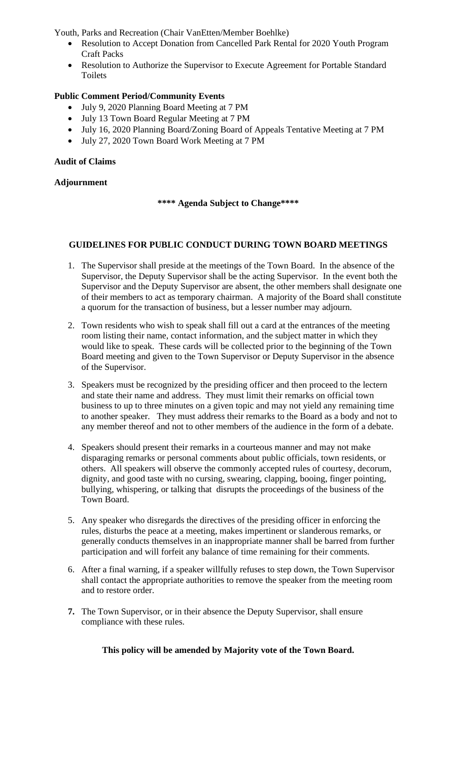Youth, Parks and Recreation (Chair VanEtten/Member Boehlke)

- Resolution to Accept Donation from Cancelled Park Rental for 2020 Youth Program Craft Packs
- Resolution to Authorize the Supervisor to Execute Agreement for Portable Standard Toilets

# **Public Comment Period/Community Events**

- July 9, 2020 Planning Board Meeting at 7 PM
- July 13 Town Board Regular Meeting at 7 PM
- July 16, 2020 Planning Board/Zoning Board of Appeals Tentative Meeting at 7 PM
- July 27, 2020 Town Board Work Meeting at 7 PM

## **Audit of Claims**

## **Adjournment**

## **\*\*\*\* Agenda Subject to Change\*\*\*\***

## **GUIDELINES FOR PUBLIC CONDUCT DURING TOWN BOARD MEETINGS**

- 1. The Supervisor shall preside at the meetings of the Town Board. In the absence of the Supervisor, the Deputy Supervisor shall be the acting Supervisor. In the event both the Supervisor and the Deputy Supervisor are absent, the other members shall designate one of their members to act as temporary chairman. A majority of the Board shall constitute a quorum for the transaction of business, but a lesser number may adjourn.
- 2. Town residents who wish to speak shall fill out a card at the entrances of the meeting room listing their name, contact information, and the subject matter in which they would like to speak. These cards will be collected prior to the beginning of the Town Board meeting and given to the Town Supervisor or Deputy Supervisor in the absence of the Supervisor.
- 3. Speakers must be recognized by the presiding officer and then proceed to the lectern and state their name and address. They must limit their remarks on official town business to up to three minutes on a given topic and may not yield any remaining time to another speaker. They must address their remarks to the Board as a body and not to any member thereof and not to other members of the audience in the form of a debate.
- 4. Speakers should present their remarks in a courteous manner and may not make disparaging remarks or personal comments about public officials, town residents, or others. All speakers will observe the commonly accepted rules of courtesy, decorum, dignity, and good taste with no cursing, swearing, clapping, booing, finger pointing, bullying, whispering, or talking that disrupts the proceedings of the business of the Town Board.
- 5. Any speaker who disregards the directives of the presiding officer in enforcing the rules, disturbs the peace at a meeting, makes impertinent or slanderous remarks, or generally conducts themselves in an inappropriate manner shall be barred from further participation and will forfeit any balance of time remaining for their comments.
- 6. After a final warning, if a speaker willfully refuses to step down, the Town Supervisor shall contact the appropriate authorities to remove the speaker from the meeting room and to restore order.
- **7.** The Town Supervisor, or in their absence the Deputy Supervisor, shall ensure compliance with these rules.

**This policy will be amended by Majority vote of the Town Board.**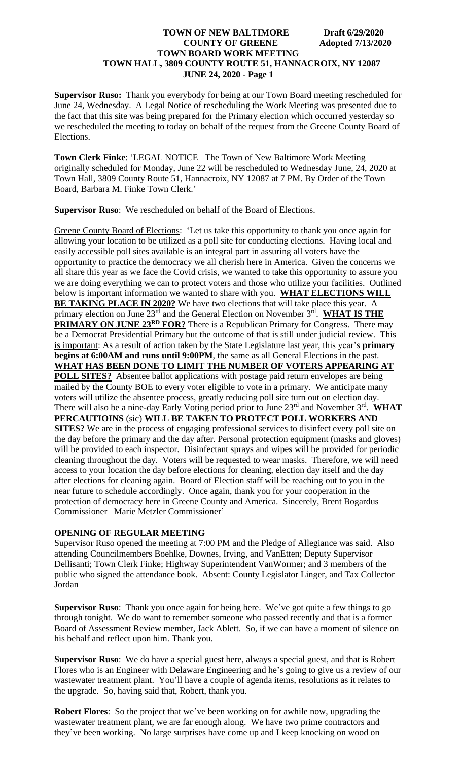**Supervisor Ruso:** Thank you everybody for being at our Town Board meeting rescheduled for June 24, Wednesday. A Legal Notice of rescheduling the Work Meeting was presented due to the fact that this site was being prepared for the Primary election which occurred yesterday so we rescheduled the meeting to today on behalf of the request from the Greene County Board of Elections.

**Town Clerk Finke**: 'LEGAL NOTICE The Town of New Baltimore Work Meeting originally scheduled for Monday, June 22 will be rescheduled to Wednesday June, 24, 2020 at Town Hall, 3809 County Route 51, Hannacroix, NY 12087 at 7 PM. By Order of the Town Board, Barbara M. Finke Town Clerk.'

**Supervisor Ruso**: We rescheduled on behalf of the Board of Elections.

Greene County Board of Elections: 'Let us take this opportunity to thank you once again for allowing your location to be utilized as a poll site for conducting elections. Having local and easily accessible poll sites available is an integral part in assuring all voters have the opportunity to practice the democracy we all cherish here in America. Given the concerns we all share this year as we face the Covid crisis, we wanted to take this opportunity to assure you we are doing everything we can to protect voters and those who utilize your facilities. Outlined below is important information we wanted to share with you. **WHAT ELECTIONS WILL BE TAKING PLACE IN 2020?** We have two elections that will take place this year. A primary election on June 23<sup>rd</sup> and the General Election on November 3<sup>rd</sup>. WHAT IS THE **PRIMARY ON JUNE 23RD FOR?** There is a Republican Primary for Congress. There may be a Democrat Presidential Primary but the outcome of that is still under judicial review. This is important: As a result of action taken by the State Legislature last year, this year's **primary begins at 6:00AM and runs until 9:00PM**, the same as all General Elections in the past. **WHAT HAS BEEN DONE TO LIMIT THE NUMBER OF VOTERS APPEARING AT POLL SITES?** Absentee ballot applications with postage paid return envelopes are being mailed by the County BOE to every voter eligible to vote in a primary. We anticipate many voters will utilize the absentee process, greatly reducing poll site turn out on election day. There will also be a nine-day Early Voting period prior to June 23<sup>rd</sup> and November 3<sup>rd</sup>. WHAT **PERCAUTIOINS** (sic) **WILL BE TAKEN TO PROTECT POLL WORKERS AND SITES?** We are in the process of engaging professional services to disinfect every poll site on the day before the primary and the day after. Personal protection equipment (masks and gloves) will be provided to each inspector. Disinfectant sprays and wipes will be provided for periodic cleaning throughout the day. Voters will be requested to wear masks. Therefore, we will need access to your location the day before elections for cleaning, election day itself and the day after elections for cleaning again. Board of Election staff will be reaching out to you in the near future to schedule accordingly. Once again, thank you for your cooperation in the protection of democracy here in Greene County and America. Sincerely, Brent Bogardus Commissioner Marie Metzler Commissioner'

## **OPENING OF REGULAR MEETING**

Supervisor Ruso opened the meeting at 7:00 PM and the Pledge of Allegiance was said. Also attending Councilmembers Boehlke, Downes, Irving, and VanEtten; Deputy Supervisor Dellisanti; Town Clerk Finke; Highway Superintendent VanWormer; and 3 members of the public who signed the attendance book. Absent: County Legislator Linger, and Tax Collector Jordan

**Supervisor Ruso**: Thank you once again for being here. We've got quite a few things to go through tonight. We do want to remember someone who passed recently and that is a former Board of Assessment Review member, Jack Ablett. So, if we can have a moment of silence on his behalf and reflect upon him. Thank you.

**Supervisor Ruso**: We do have a special guest here, always a special guest, and that is Robert Flores who is an Engineer with Delaware Engineering and he's going to give us a review of our wastewater treatment plant. You'll have a couple of agenda items, resolutions as it relates to the upgrade. So, having said that, Robert, thank you.

**Robert Flores**: So the project that we've been working on for awhile now, upgrading the wastewater treatment plant, we are far enough along. We have two prime contractors and they've been working. No large surprises have come up and I keep knocking on wood on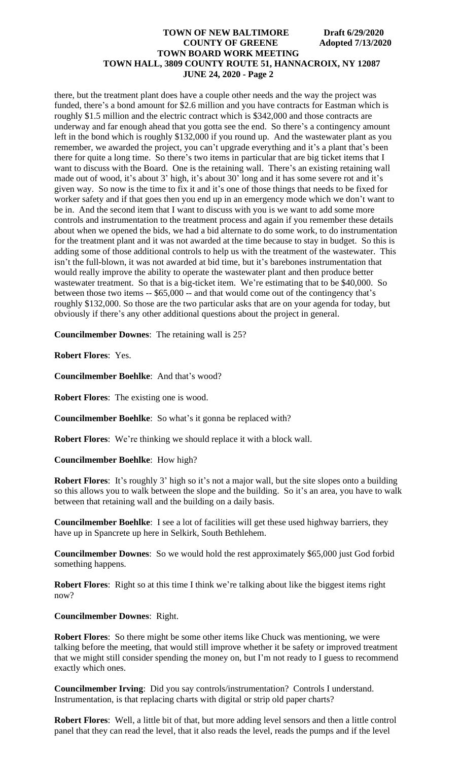there, but the treatment plant does have a couple other needs and the way the project was funded, there's a bond amount for \$2.6 million and you have contracts for Eastman which is roughly \$1.5 million and the electric contract which is \$342,000 and those contracts are underway and far enough ahead that you gotta see the end. So there's a contingency amount left in the bond which is roughly \$132,000 if you round up. And the wastewater plant as you remember, we awarded the project, you can't upgrade everything and it's a plant that's been there for quite a long time. So there's two items in particular that are big ticket items that I want to discuss with the Board. One is the retaining wall. There's an existing retaining wall made out of wood, it's about 3' high, it's about 30' long and it has some severe rot and it's given way. So now is the time to fix it and it's one of those things that needs to be fixed for worker safety and if that goes then you end up in an emergency mode which we don't want to be in. And the second item that I want to discuss with you is we want to add some more controls and instrumentation to the treatment process and again if you remember these details about when we opened the bids, we had a bid alternate to do some work, to do instrumentation for the treatment plant and it was not awarded at the time because to stay in budget. So this is adding some of those additional controls to help us with the treatment of the wastewater. This isn't the full-blown, it was not awarded at bid time, but it's barebones instrumentation that would really improve the ability to operate the wastewater plant and then produce better wastewater treatment. So that is a big-ticket item. We're estimating that to be \$40,000. So between those two items -- \$65,000 -- and that would come out of the contingency that's roughly \$132,000. So those are the two particular asks that are on your agenda for today, but obviously if there's any other additional questions about the project in general.

**Councilmember Downes**: The retaining wall is 25?

**Robert Flores**: Yes.

**Councilmember Boehlke**: And that's wood?

**Robert Flores**: The existing one is wood.

**Councilmember Boehlke**: So what's it gonna be replaced with?

**Robert Flores**: We're thinking we should replace it with a block wall.

**Councilmember Boehlke**: How high?

**Robert Flores:** It's roughly 3' high so it's not a major wall, but the site slopes onto a building so this allows you to walk between the slope and the building. So it's an area, you have to walk between that retaining wall and the building on a daily basis.

**Councilmember Boehlke**: I see a lot of facilities will get these used highway barriers, they have up in Spancrete up here in Selkirk, South Bethlehem.

**Councilmember Downes**: So we would hold the rest approximately \$65,000 just God forbid something happens.

**Robert Flores**: Right so at this time I think we're talking about like the biggest items right now?

#### **Councilmember Downes**: Right.

**Robert Flores**: So there might be some other items like Chuck was mentioning, we were talking before the meeting, that would still improve whether it be safety or improved treatment that we might still consider spending the money on, but I'm not ready to I guess to recommend exactly which ones.

**Councilmember Irving**: Did you say controls/instrumentation? Controls I understand. Instrumentation, is that replacing charts with digital or strip old paper charts?

**Robert Flores**: Well, a little bit of that, but more adding level sensors and then a little control panel that they can read the level, that it also reads the level, reads the pumps and if the level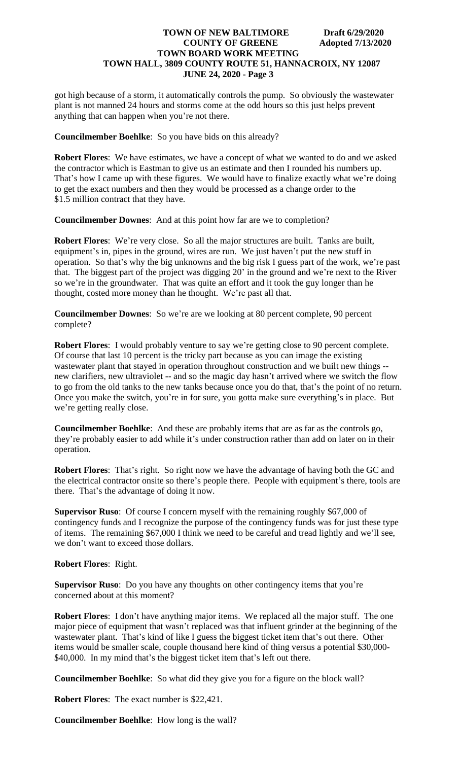got high because of a storm, it automatically controls the pump. So obviously the wastewater plant is not manned 24 hours and storms come at the odd hours so this just helps prevent anything that can happen when you're not there.

**Councilmember Boehlke**: So you have bids on this already?

**Robert Flores**: We have estimates, we have a concept of what we wanted to do and we asked the contractor which is Eastman to give us an estimate and then I rounded his numbers up. That's how I came up with these figures. We would have to finalize exactly what we're doing to get the exact numbers and then they would be processed as a change order to the \$1.5 million contract that they have.

**Councilmember Downes**: And at this point how far are we to completion?

**Robert Flores**: We're very close. So all the major structures are built. Tanks are built, equipment's in, pipes in the ground, wires are run. We just haven't put the new stuff in operation. So that's why the big unknowns and the big risk I guess part of the work, we're past that. The biggest part of the project was digging 20' in the ground and we're next to the River so we're in the groundwater. That was quite an effort and it took the guy longer than he thought, costed more money than he thought. We're past all that.

**Councilmember Downes**: So we're are we looking at 80 percent complete, 90 percent complete?

**Robert Flores**: I would probably venture to say we're getting close to 90 percent complete. Of course that last 10 percent is the tricky part because as you can image the existing wastewater plant that stayed in operation throughout construction and we built new things - new clarifiers, new ultraviolet -- and so the magic day hasn't arrived where we switch the flow to go from the old tanks to the new tanks because once you do that, that's the point of no return. Once you make the switch, you're in for sure, you gotta make sure everything's in place. But we're getting really close.

**Councilmember Boehlke**: And these are probably items that are as far as the controls go, they're probably easier to add while it's under construction rather than add on later on in their operation.

**Robert Flores**: That's right. So right now we have the advantage of having both the GC and the electrical contractor onsite so there's people there. People with equipment's there, tools are there. That's the advantage of doing it now.

**Supervisor Ruso**: Of course I concern myself with the remaining roughly \$67,000 of contingency funds and I recognize the purpose of the contingency funds was for just these type of items. The remaining \$67,000 I think we need to be careful and tread lightly and we'll see, we don't want to exceed those dollars.

**Robert Flores**: Right.

**Supervisor Ruso**: Do you have any thoughts on other contingency items that you're concerned about at this moment?

**Robert Flores**: I don't have anything major items. We replaced all the major stuff. The one major piece of equipment that wasn't replaced was that influent grinder at the beginning of the wastewater plant. That's kind of like I guess the biggest ticket item that's out there. Other items would be smaller scale, couple thousand here kind of thing versus a potential \$30,000- \$40,000. In my mind that's the biggest ticket item that's left out there.

**Councilmember Boehlke**: So what did they give you for a figure on the block wall?

**Robert Flores**: The exact number is \$22,421.

**Councilmember Boehlke**: How long is the wall?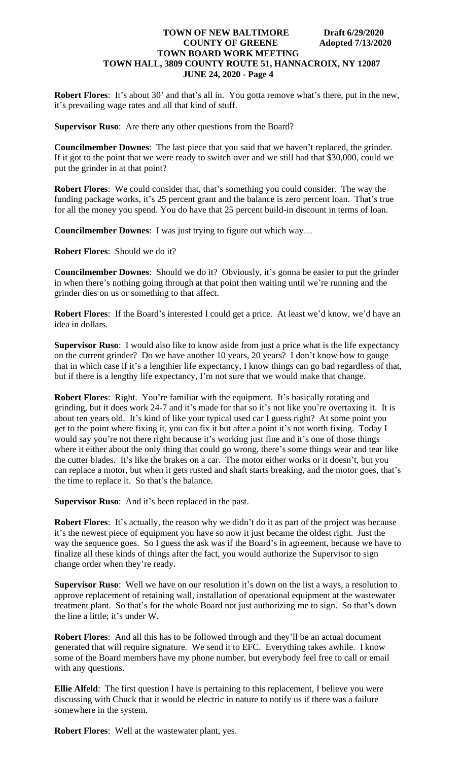**Robert Flores**: It's about 30' and that's all in. You gotta remove what's there, put in the new, it's prevailing wage rates and all that kind of stuff.

**Supervisor Ruso**: Are there any other questions from the Board?

**Councilmember Downes**: The last piece that you said that we haven't replaced, the grinder. If it got to the point that we were ready to switch over and we still had that \$30,000, could we put the grinder in at that point?

**Robert Flores**: We could consider that, that's something you could consider. The way the funding package works, it's 25 percent grant and the balance is zero percent loan. That's true for all the money you spend. You do have that 25 percent build-in discount in terms of loan.

**Councilmember Downes**: I was just trying to figure out which way…

**Robert Flores**: Should we do it?

**Councilmember Downes**: Should we do it? Obviously, it's gonna be easier to put the grinder in when there's nothing going through at that point then waiting until we're running and the grinder dies on us or something to that affect.

**Robert Flores**: If the Board's interested I could get a price. At least we'd know, we'd have an idea in dollars.

**Supervisor Ruso**: I would also like to know aside from just a price what is the life expectancy on the current grinder? Do we have another 10 years, 20 years? I don't know how to gauge that in which case if it's a lengthier life expectancy, I know things can go bad regardless of that, but if there is a lengthy life expectancy, I'm not sure that we would make that change.

**Robert Flores**: Right. You're familiar with the equipment. It's basically rotating and grinding, but it does work 24-7 and it's made for that so it's not like you're overtaxing it. It is about ten years old. It's kind of like your typical used car I guess right? At some point you get to the point where fixing it, you can fix it but after a point it's not worth fixing. Today I would say you're not there right because it's working just fine and it's one of those things where it either about the only thing that could go wrong, there's some things wear and tear like the cutter blades. It's like the brakes on a car. The motor either works or it doesn't, but you can replace a motor, but when it gets rusted and shaft starts breaking, and the motor goes, that's the time to replace it. So that's the balance.

**Supervisor Ruso**: And it's been replaced in the past.

**Robert Flores**: It's actually, the reason why we didn't do it as part of the project was because it's the newest piece of equipment you have so now it just became the oldest right. Just the way the sequence goes. So I guess the ask was if the Board's in agreement, because we have to finalize all these kinds of things after the fact, you would authorize the Supervisor to sign change order when they're ready.

**Supervisor Ruso**: Well we have on our resolution it's down on the list a ways, a resolution to approve replacement of retaining wall, installation of operational equipment at the wastewater treatment plant. So that's for the whole Board not just authorizing me to sign. So that's down the line a little; it's under W.

**Robert Flores**: And all this has to be followed through and they'll be an actual document generated that will require signature. We send it to EFC. Everything takes awhile. I know some of the Board members have my phone number, but everybody feel free to call or email with any questions.

**Ellie Alfeld**: The first question I have is pertaining to this replacement, I believe you were discussing with Chuck that it would be electric in nature to notify us if there was a failure somewhere in the system.

**Robert Flores**: Well at the wastewater plant, yes.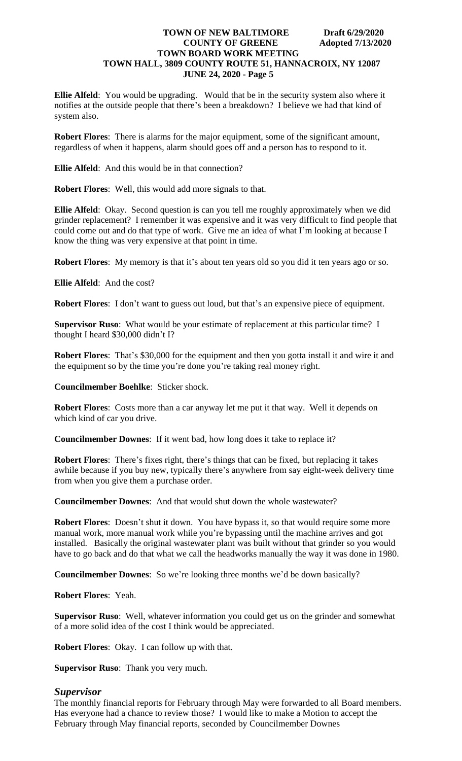**Ellie Alfeld**: You would be upgrading. Would that be in the security system also where it notifies at the outside people that there's been a breakdown? I believe we had that kind of system also.

**Robert Flores**: There is alarms for the major equipment, some of the significant amount, regardless of when it happens, alarm should goes off and a person has to respond to it.

**Ellie Alfeld**: And this would be in that connection?

**Robert Flores**: Well, this would add more signals to that.

**Ellie Alfeld**: Okay. Second question is can you tell me roughly approximately when we did grinder replacement? I remember it was expensive and it was very difficult to find people that could come out and do that type of work. Give me an idea of what I'm looking at because I know the thing was very expensive at that point in time.

**Robert Flores**: My memory is that it's about ten years old so you did it ten years ago or so.

**Ellie Alfeld**: And the cost?

**Robert Flores**: I don't want to guess out loud, but that's an expensive piece of equipment.

**Supervisor Ruso**: What would be your estimate of replacement at this particular time? I thought I heard \$30,000 didn't I?

**Robert Flores**: That's \$30,000 for the equipment and then you gotta install it and wire it and the equipment so by the time you're done you're taking real money right.

**Councilmember Boehlke**: Sticker shock.

**Robert Flores**: Costs more than a car anyway let me put it that way. Well it depends on which kind of car you drive.

**Councilmember Downes**: If it went bad, how long does it take to replace it?

**Robert Flores**: There's fixes right, there's things that can be fixed, but replacing it takes awhile because if you buy new, typically there's anywhere from say eight-week delivery time from when you give them a purchase order.

**Councilmember Downes**: And that would shut down the whole wastewater?

**Robert Flores:** Doesn't shut it down. You have bypass it, so that would require some more manual work, more manual work while you're bypassing until the machine arrives and got installed. Basically the original wastewater plant was built without that grinder so you would have to go back and do that what we call the headworks manually the way it was done in 1980.

**Councilmember Downes**: So we're looking three months we'd be down basically?

**Robert Flores**: Yeah.

**Supervisor Ruso**: Well, whatever information you could get us on the grinder and somewhat of a more solid idea of the cost I think would be appreciated.

**Robert Flores**: Okay. I can follow up with that.

**Supervisor Ruso**: Thank you very much.

## *Supervisor*

The monthly financial reports for February through May were forwarded to all Board members. Has everyone had a chance to review those? I would like to make a Motion to accept the February through May financial reports, seconded by Councilmember Downes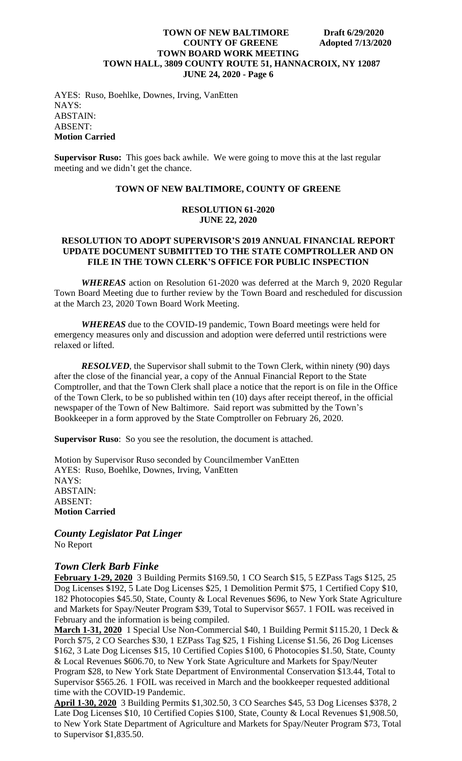AYES: Ruso, Boehlke, Downes, Irving, VanEtten NAYS: ABSTAIN: ABSENT: **Motion Carried**

**Supervisor Ruso:** This goes back awhile. We were going to move this at the last regular meeting and we didn't get the chance.

# **TOWN OF NEW BALTIMORE, COUNTY OF GREENE**

#### **RESOLUTION 61-2020 JUNE 22, 2020**

### **RESOLUTION TO ADOPT SUPERVISOR'S 2019 ANNUAL FINANCIAL REPORT UPDATE DOCUMENT SUBMITTED TO THE STATE COMPTROLLER AND ON FILE IN THE TOWN CLERK'S OFFICE FOR PUBLIC INSPECTION**

*WHEREAS* action on Resolution 61-2020 was deferred at the March 9, 2020 Regular Town Board Meeting due to further review by the Town Board and rescheduled for discussion at the March 23, 2020 Town Board Work Meeting.

*WHEREAS* due to the COVID-19 pandemic, Town Board meetings were held for emergency measures only and discussion and adoption were deferred until restrictions were relaxed or lifted.

*RESOLVED*, the Supervisor shall submit to the Town Clerk, within ninety (90) days after the close of the financial year, a copy of the Annual Financial Report to the State Comptroller, and that the Town Clerk shall place a notice that the report is on file in the Office of the Town Clerk, to be so published within ten (10) days after receipt thereof, in the official newspaper of the Town of New Baltimore. Said report was submitted by the Town's Bookkeeper in a form approved by the State Comptroller on February 26, 2020.

**Supervisor Ruso**: So you see the resolution, the document is attached.

Motion by Supervisor Ruso seconded by Councilmember VanEtten AYES: Ruso, Boehlke, Downes, Irving, VanEtten NAYS: ABSTAIN: ABSENT: **Motion Carried**

*County Legislator Pat Linger* No Report

# *Town Clerk Barb Finke*

**February 1-29, 2020** 3 Building Permits \$169.50, 1 CO Search \$15, 5 EZPass Tags \$125, 25 Dog Licenses \$192, 5 Late Dog Licenses \$25, 1 Demolition Permit \$75, 1 Certified Copy \$10, 182 Photocopies \$45.50, State, County & Local Revenues \$696, to New York State Agriculture and Markets for Spay/Neuter Program \$39, Total to Supervisor \$657. 1 FOIL was received in February and the information is being compiled.

**March 1-31, 2020** 1 Special Use Non-Commercial \$40, 1 Building Permit \$115.20, 1 Deck & Porch \$75, 2 CO Searches \$30, 1 EZPass Tag \$25, 1 Fishing License \$1.56, 26 Dog Licenses \$162, 3 Late Dog Licenses \$15, 10 Certified Copies \$100, 6 Photocopies \$1.50, State, County & Local Revenues \$606.70, to New York State Agriculture and Markets for Spay/Neuter Program \$28, to New York State Department of Environmental Conservation \$13.44, Total to Supervisor \$565.26. 1 FOIL was received in March and the bookkeeper requested additional time with the COVID-19 Pandemic.

**April 1-30, 2020** 3 Building Permits \$1,302.50, 3 CO Searches \$45, 53 Dog Licenses \$378, 2 Late Dog Licenses \$10, 10 Certified Copies \$100, State, County & Local Revenues \$1,908.50, to New York State Department of Agriculture and Markets for Spay/Neuter Program \$73, Total to Supervisor \$1,835.50.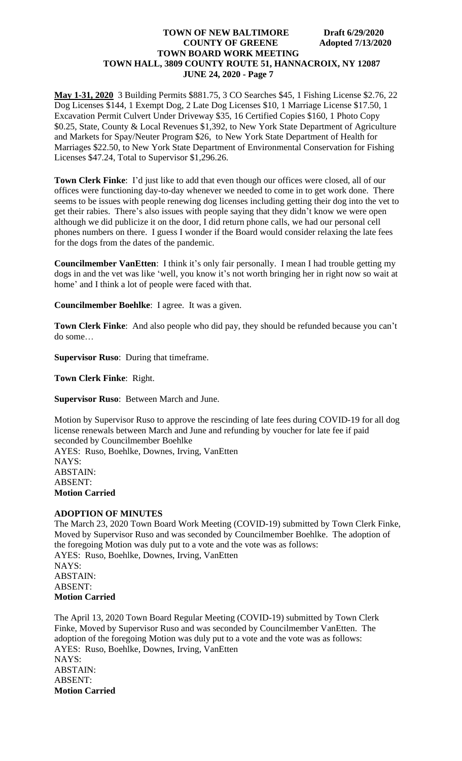**May 1-31, 2020** 3 Building Permits \$881.75, 3 CO Searches \$45, 1 Fishing License \$2.76, 22 Dog Licenses \$144, 1 Exempt Dog, 2 Late Dog Licenses \$10, 1 Marriage License \$17.50, 1 Excavation Permit Culvert Under Driveway \$35, 16 Certified Copies \$160, 1 Photo Copy \$0.25, State, County & Local Revenues \$1,392, to New York State Department of Agriculture and Markets for Spay/Neuter Program \$26, to New York State Department of Health for Marriages \$22.50, to New York State Department of Environmental Conservation for Fishing Licenses \$47.24, Total to Supervisor \$1,296.26.

**Town Clerk Finke**: I'd just like to add that even though our offices were closed, all of our offices were functioning day-to-day whenever we needed to come in to get work done. There seems to be issues with people renewing dog licenses including getting their dog into the vet to get their rabies. There's also issues with people saying that they didn't know we were open although we did publicize it on the door, I did return phone calls, we had our personal cell phones numbers on there. I guess I wonder if the Board would consider relaxing the late fees for the dogs from the dates of the pandemic.

**Councilmember VanEtten**: I think it's only fair personally. I mean I had trouble getting my dogs in and the vet was like 'well, you know it's not worth bringing her in right now so wait at home' and I think a lot of people were faced with that.

**Councilmember Boehlke**: I agree. It was a given.

**Town Clerk Finke**: And also people who did pay, they should be refunded because you can't do some…

**Supervisor Ruso**: During that timeframe.

**Town Clerk Finke**: Right.

**Supervisor Ruso**: Between March and June.

Motion by Supervisor Ruso to approve the rescinding of late fees during COVID-19 for all dog license renewals between March and June and refunding by voucher for late fee if paid seconded by Councilmember Boehlke AYES: Ruso, Boehlke, Downes, Irving, VanEtten NAYS: ABSTAIN: ABSENT: **Motion Carried**

#### **ADOPTION OF MINUTES**

The March 23, 2020 Town Board Work Meeting (COVID-19) submitted by Town Clerk Finke, Moved by Supervisor Ruso and was seconded by Councilmember Boehlke. The adoption of the foregoing Motion was duly put to a vote and the vote was as follows: AYES: Ruso, Boehlke, Downes, Irving, VanEtten NAYS: ABSTAIN: ABSENT: **Motion Carried**

The April 13, 2020 Town Board Regular Meeting (COVID-19) submitted by Town Clerk Finke, Moved by Supervisor Ruso and was seconded by Councilmember VanEtten. The adoption of the foregoing Motion was duly put to a vote and the vote was as follows: AYES: Ruso, Boehlke, Downes, Irving, VanEtten NAYS: ABSTAIN: ABSENT: **Motion Carried**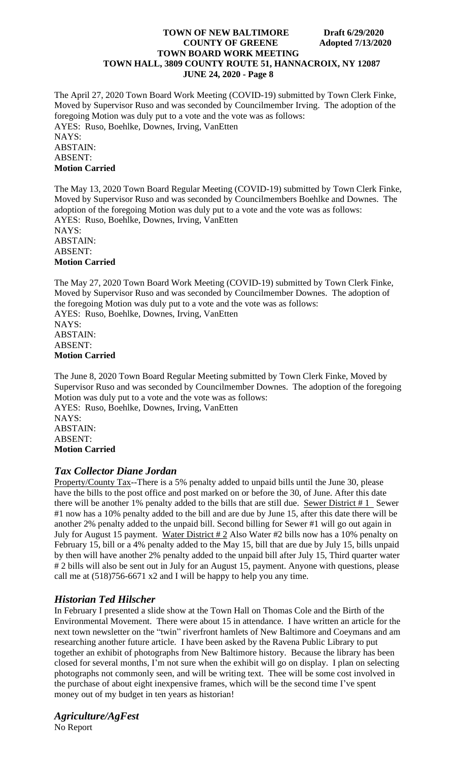The April 27, 2020 Town Board Work Meeting (COVID-19) submitted by Town Clerk Finke, Moved by Supervisor Ruso and was seconded by Councilmember Irving. The adoption of the foregoing Motion was duly put to a vote and the vote was as follows: AYES: Ruso, Boehlke, Downes, Irving, VanEtten NAYS: ABSTAIN: ABSENT: **Motion Carried**

The May 13, 2020 Town Board Regular Meeting (COVID-19) submitted by Town Clerk Finke, Moved by Supervisor Ruso and was seconded by Councilmembers Boehlke and Downes. The adoption of the foregoing Motion was duly put to a vote and the vote was as follows: AYES: Ruso, Boehlke, Downes, Irving, VanEtten NAYS: ABSTAIN: ABSENT: **Motion Carried**

The May 27, 2020 Town Board Work Meeting (COVID-19) submitted by Town Clerk Finke, Moved by Supervisor Ruso and was seconded by Councilmember Downes. The adoption of the foregoing Motion was duly put to a vote and the vote was as follows: AYES: Ruso, Boehlke, Downes, Irving, VanEtten NAYS: ABSTAIN: ABSENT: **Motion Carried**

The June 8, 2020 Town Board Regular Meeting submitted by Town Clerk Finke, Moved by Supervisor Ruso and was seconded by Councilmember Downes. The adoption of the foregoing Motion was duly put to a vote and the vote was as follows: AYES: Ruso, Boehlke, Downes, Irving, VanEtten NAYS: ABSTAIN: ABSENT: **Motion Carried**

# *Tax Collector Diane Jordan*

Property/County Tax--There is a 5% penalty added to unpaid bills until the June 30, please have the bills to the post office and post marked on or before the 30, of June. After this date there will be another 1% penalty added to the bills that are still due. Sewer District  $# 1$  Sewer #1 now has a 10% penalty added to the bill and are due by June 15, after this date there will be another 2% penalty added to the unpaid bill. Second billing for Sewer #1 will go out again in July for August 15 payment. Water District  $\#2$  Also Water  $\#2$  bills now has a 10% penalty on February 15, bill or a 4% penalty added to the May 15, bill that are due by July 15, bills unpaid by then will have another 2% penalty added to the unpaid bill after July 15, Third quarter water # 2 bills will also be sent out in July for an August 15, payment. Anyone with questions, please call me at (518)756-6671 x2 and I will be happy to help you any time.

# *Historian Ted Hilscher*

In February I presented a slide show at the Town Hall on Thomas Cole and the Birth of the Environmental Movement. There were about 15 in attendance. I have written an article for the next town newsletter on the "twin" riverfront hamlets of New Baltimore and Coeymans and am researching another future article. I have been asked by the Ravena Public Library to put together an exhibit of photographs from New Baltimore history. Because the library has been closed for several months, I'm not sure when the exhibit will go on display. I plan on selecting photographs not commonly seen, and will be writing text. Thee will be some cost involved in the purchase of about eight inexpensive frames, which will be the second time I've spent money out of my budget in ten years as historian!

*Agriculture/AgFest* No Report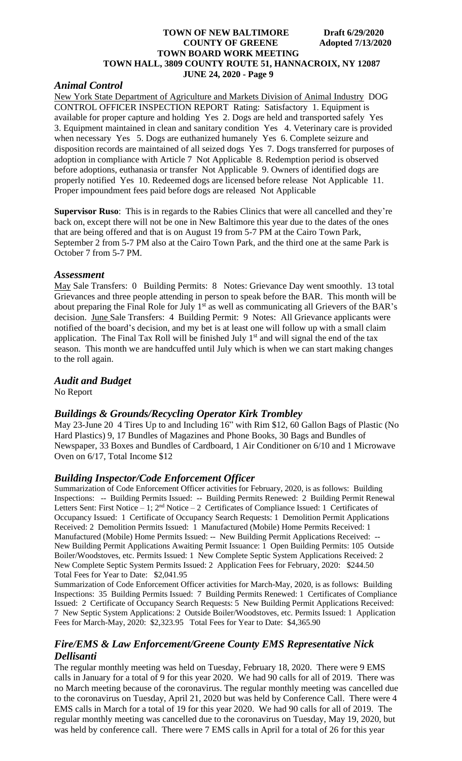# *Animal Control*

New York State Department of Agriculture and Markets Division of Animal Industry DOG CONTROL OFFICER INSPECTION REPORT Rating: Satisfactory 1. Equipment is available for proper capture and holding Yes 2. Dogs are held and transported safely Yes 3. Equipment maintained in clean and sanitary condition Yes 4. Veterinary care is provided when necessary Yes 5. Dogs are euthanized humanely Yes 6. Complete seizure and disposition records are maintained of all seized dogs Yes 7. Dogs transferred for purposes of adoption in compliance with Article 7 Not Applicable 8. Redemption period is observed before adoptions, euthanasia or transfer Not Applicable 9. Owners of identified dogs are properly notified Yes 10. Redeemed dogs are licensed before release Not Applicable 11. Proper impoundment fees paid before dogs are released Not Applicable

**Supervisor Ruso**: This is in regards to the Rabies Clinics that were all cancelled and they're back on, except there will not be one in New Baltimore this year due to the dates of the ones that are being offered and that is on August 19 from 5-7 PM at the Cairo Town Park, September 2 from 5-7 PM also at the Cairo Town Park, and the third one at the same Park is October 7 from 5-7 PM.

### *Assessment*

May Sale Transfers: 0 Building Permits: 8 Notes: Grievance Day went smoothly. 13 total Grievances and three people attending in person to speak before the BAR. This month will be about preparing the Final Role for July 1<sup>st</sup> as well as communicating all Grievers of the BAR's decision. June Sale Transfers: 4 Building Permit: 9 Notes: All Grievance applicants were notified of the board's decision, and my bet is at least one will follow up with a small claim application. The Final Tax Roll will be finished July  $1<sup>st</sup>$  and will signal the end of the tax season. This month we are handcuffed until July which is when we can start making changes to the roll again.

## *Audit and Budget*

No Report

# *Buildings & Grounds/Recycling Operator Kirk Trombley*

May 23-June 20 4 Tires Up to and Including 16" with Rim \$12, 60 Gallon Bags of Plastic (No Hard Plastics) 9, 17 Bundles of Magazines and Phone Books, 30 Bags and Bundles of Newspaper, 33 Boxes and Bundles of Cardboard, 1 Air Conditioner on 6/10 and 1 Microwave Oven on 6/17, Total Income \$12

## *Building Inspector/Code Enforcement Officer*

Summarization of Code Enforcement Officer activities for February, 2020, is as follows: Building Inspections: -- Building Permits Issued: -- Building Permits Renewed: 2 Building Permit Renewal Letters Sent: First Notice  $-1$ ;  $2<sup>nd</sup>$  Notice  $-2$  Certificates of Compliance Issued: 1 Certificates of Occupancy Issued: 1 Certificate of Occupancy Search Requests: 1 Demolition Permit Applications Received: 2 Demolition Permits Issued: 1 Manufactured (Mobile) Home Permits Received: 1 Manufactured (Mobile) Home Permits Issued: -- New Building Permit Applications Received: -- New Building Permit Applications Awaiting Permit Issuance: 1 Open Building Permits: 105 Outside Boiler/Woodstoves, etc. Permits Issued: 1 New Complete Septic System Applications Received: 2 New Complete Septic System Permits Issued: 2 Application Fees for February, 2020: \$244.50 Total Fees for Year to Date: \$2,041.95

Summarization of Code Enforcement Officer activities for March-May, 2020, is as follows: Building Inspections: 35 Building Permits Issued: 7 Building Permits Renewed: 1 Certificates of Compliance Issued: 2 Certificate of Occupancy Search Requests: 5 New Building Permit Applications Received: 7 New Septic System Applications: 2 Outside Boiler/Woodstoves, etc. Permits Issued: 1 Application Fees for March-May, 2020: \$2,323.95 Total Fees for Year to Date: \$4,365.90

# *Fire/EMS & Law Enforcement/Greene County EMS Representative Nick Dellisanti*

The regular monthly meeting was held on Tuesday, February 18, 2020. There were 9 EMS calls in January for a total of 9 for this year 2020. We had 90 calls for all of 2019. There was no March meeting because of the coronavirus. The regular monthly meeting was cancelled due to the coronavirus on Tuesday, April 21, 2020 but was held by Conference Call. There were 4 EMS calls in March for a total of 19 for this year 2020. We had 90 calls for all of 2019. The regular monthly meeting was cancelled due to the coronavirus on Tuesday, May 19, 2020, but was held by conference call. There were 7 EMS calls in April for a total of 26 for this year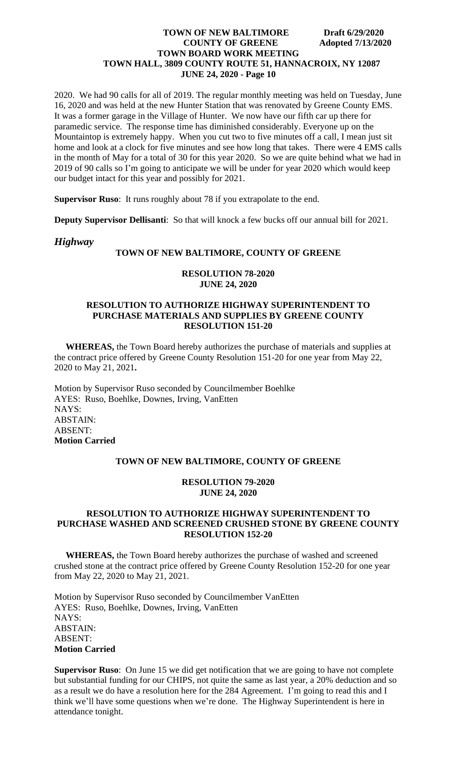2020. We had 90 calls for all of 2019. The regular monthly meeting was held on Tuesday, June 16, 2020 and was held at the new Hunter Station that was renovated by Greene County EMS. It was a former garage in the Village of Hunter. We now have our fifth car up there for paramedic service. The response time has diminished considerably. Everyone up on the Mountaintop is extremely happy. When you cut two to five minutes off a call, I mean just sit home and look at a clock for five minutes and see how long that takes. There were 4 EMS calls in the month of May for a total of 30 for this year 2020. So we are quite behind what we had in 2019 of 90 calls so I'm going to anticipate we will be under for year 2020 which would keep our budget intact for this year and possibly for 2021.

**Supervisor Ruso**: It runs roughly about 78 if you extrapolate to the end.

**Deputy Supervisor Dellisanti**: So that will knock a few bucks off our annual bill for 2021.

## *Highway*

## **TOWN OF NEW BALTIMORE, COUNTY OF GREENE**

#### **RESOLUTION 78-2020 JUNE 24, 2020**

## **RESOLUTION TO AUTHORIZE HIGHWAY SUPERINTENDENT TO PURCHASE MATERIALS AND SUPPLIES BY GREENE COUNTY RESOLUTION 151-20**

 **WHEREAS,** the Town Board hereby authorizes the purchase of materials and supplies at the contract price offered by Greene County Resolution 151-20 for one year from May 22, 2020 to May 21, 2021**.**

Motion by Supervisor Ruso seconded by Councilmember Boehlke AYES: Ruso, Boehlke, Downes, Irving, VanEtten NAYS: ABSTAIN: ABSENT: **Motion Carried**

#### **TOWN OF NEW BALTIMORE, COUNTY OF GREENE**

## **RESOLUTION 79-2020 JUNE 24, 2020**

## **RESOLUTION TO AUTHORIZE HIGHWAY SUPERINTENDENT TO PURCHASE WASHED AND SCREENED CRUSHED STONE BY GREENE COUNTY RESOLUTION 152-20**

 **WHEREAS,** the Town Board hereby authorizes the purchase of washed and screened crushed stone at the contract price offered by Greene County Resolution 152-20 for one year from May 22, 2020 to May 21, 2021.

Motion by Supervisor Ruso seconded by Councilmember VanEtten AYES: Ruso, Boehlke, Downes, Irving, VanEtten NAYS: ABSTAIN: ABSENT: **Motion Carried**

**Supervisor Ruso**: On June 15 we did get notification that we are going to have not complete but substantial funding for our CHIPS, not quite the same as last year, a 20% deduction and so as a result we do have a resolution here for the 284 Agreement. I'm going to read this and I think we'll have some questions when we're done. The Highway Superintendent is here in attendance tonight.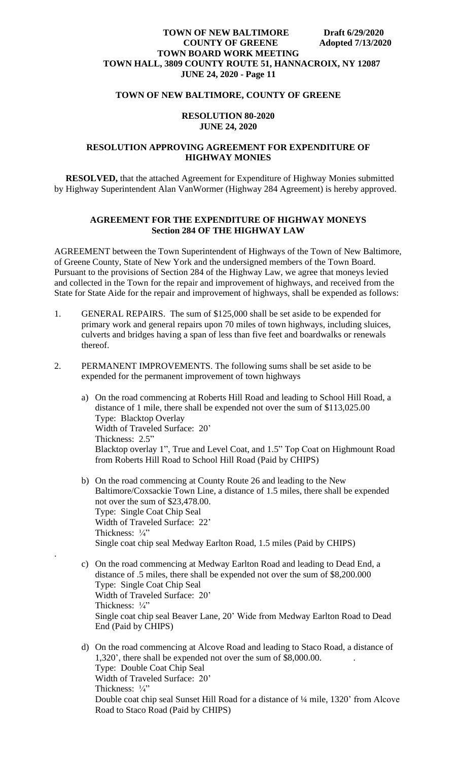### **TOWN OF NEW BALTIMORE, COUNTY OF GREENE**

#### **RESOLUTION 80-2020 JUNE 24, 2020**

## **RESOLUTION APPROVING AGREEMENT FOR EXPENDITURE OF HIGHWAY MONIES**

 **RESOLVED,** that the attached Agreement for Expenditure of Highway Monies submitted by Highway Superintendent Alan VanWormer (Highway 284 Agreement) is hereby approved.

## **AGREEMENT FOR THE EXPENDITURE OF HIGHWAY MONEYS Section 284 OF THE HIGHWAY LAW**

AGREEMENT between the Town Superintendent of Highways of the Town of New Baltimore, of Greene County, State of New York and the undersigned members of the Town Board. Pursuant to the provisions of Section 284 of the Highway Law, we agree that moneys levied and collected in the Town for the repair and improvement of highways, and received from the State for State Aide for the repair and improvement of highways, shall be expended as follows:

- 1. GENERAL REPAIRS. The sum of \$125,000 shall be set aside to be expended for primary work and general repairs upon 70 miles of town highways, including sluices, culverts and bridges having a span of less than five feet and boardwalks or renewals thereof.
- 2. PERMANENT IMPROVEMENTS. The following sums shall be set aside to be expended for the permanent improvement of town highways
	- a) On the road commencing at Roberts Hill Road and leading to School Hill Road, a distance of 1 mile, there shall be expended not over the sum of \$113,025.00 Type: Blacktop Overlay Width of Traveled Surface: 20' Thickness: 2.5" Blacktop overlay 1", True and Level Coat, and 1.5" Top Coat on Highmount Road from Roberts Hill Road to School Hill Road (Paid by CHIPS)
	- b) On the road commencing at County Route 26 and leading to the New Baltimore/Coxsackie Town Line, a distance of 1.5 miles, there shall be expended not over the sum of \$23,478.00. Type: Single Coat Chip Seal Width of Traveled Surface: 22' Thickness:  $\frac{1}{4}$ " Single coat chip seal Medway Earlton Road, 1.5 miles (Paid by CHIPS)
	- c) On the road commencing at Medway Earlton Road and leading to Dead End, a distance of .5 miles, there shall be expended not over the sum of \$8,200.000 Type: Single Coat Chip Seal Width of Traveled Surface: 20' Thickness: 1/4" Single coat chip seal Beaver Lane, 20' Wide from Medway Earlton Road to Dead End (Paid by CHIPS)

.

d) On the road commencing at Alcove Road and leading to Staco Road, a distance of 1,320', there shall be expended not over the sum of \$8,000.00. . Type: Double Coat Chip Seal Width of Traveled Surface: 20' Thickness: 1/4" Double coat chip seal Sunset Hill Road for a distance of ¼ mile, 1320' from Alcove Road to Staco Road (Paid by CHIPS)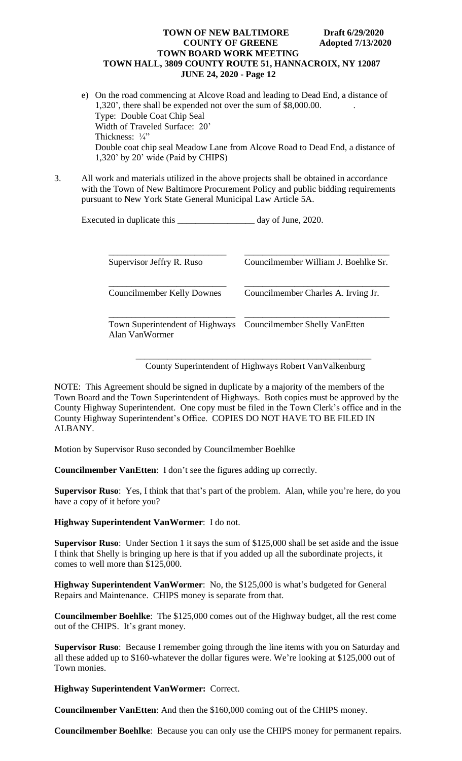- e) On the road commencing at Alcove Road and leading to Dead End, a distance of 1,320', there shall be expended not over the sum of \$8,000.00. . Type: Double Coat Chip Seal Width of Traveled Surface: 20' Thickness:  $\frac{1}{4}$ " Double coat chip seal Meadow Lane from Alcove Road to Dead End, a distance of 1,320' by 20' wide (Paid by CHIPS)
- 3. All work and materials utilized in the above projects shall be obtained in accordance with the Town of New Baltimore Procurement Policy and public bidding requirements pursuant to New York State General Municipal Law Article 5A.

| Executed in duplicate this | day of June, 2020. |
|----------------------------|--------------------|
|----------------------------|--------------------|

| Supervisor Jeffry R. Ruso                         | Councilmember William J. Boehlke Sr. |
|---------------------------------------------------|--------------------------------------|
| <b>Councilmember Kelly Downes</b>                 | Councilmember Charles A. Irving Jr.  |
| Town Superintendent of Highways<br>Alan VanWormer | Councilmember Shelly VanEtten        |

\_\_\_\_\_\_\_\_\_\_\_\_\_\_\_\_\_\_\_\_\_\_\_\_\_\_\_\_\_\_\_\_\_\_\_\_\_\_\_\_\_\_\_\_\_\_\_\_\_\_\_\_ County Superintendent of Highways Robert VanValkenburg

NOTE: This Agreement should be signed in duplicate by a majority of the members of the Town Board and the Town Superintendent of Highways. Both copies must be approved by the County Highway Superintendent. One copy must be filed in the Town Clerk's office and in the County Highway Superintendent's Office. COPIES DO NOT HAVE TO BE FILED IN ALBANY.

Motion by Supervisor Ruso seconded by Councilmember Boehlke

**Councilmember VanEtten**: I don't see the figures adding up correctly.

**Supervisor Ruso**: Yes, I think that that's part of the problem. Alan, while you're here, do you have a copy of it before you?

**Highway Superintendent VanWormer**: I do not.

**Supervisor Ruso**: Under Section 1 it says the sum of \$125,000 shall be set aside and the issue I think that Shelly is bringing up here is that if you added up all the subordinate projects, it comes to well more than \$125,000.

**Highway Superintendent VanWormer**: No, the \$125,000 is what's budgeted for General Repairs and Maintenance. CHIPS money is separate from that.

**Councilmember Boehlke**: The \$125,000 comes out of the Highway budget, all the rest come out of the CHIPS. It's grant money.

**Supervisor Ruso**: Because I remember going through the line items with you on Saturday and all these added up to \$160-whatever the dollar figures were. We're looking at \$125,000 out of Town monies.

**Highway Superintendent VanWormer:** Correct.

**Councilmember VanEtten**: And then the \$160,000 coming out of the CHIPS money.

**Councilmember Boehlke**: Because you can only use the CHIPS money for permanent repairs.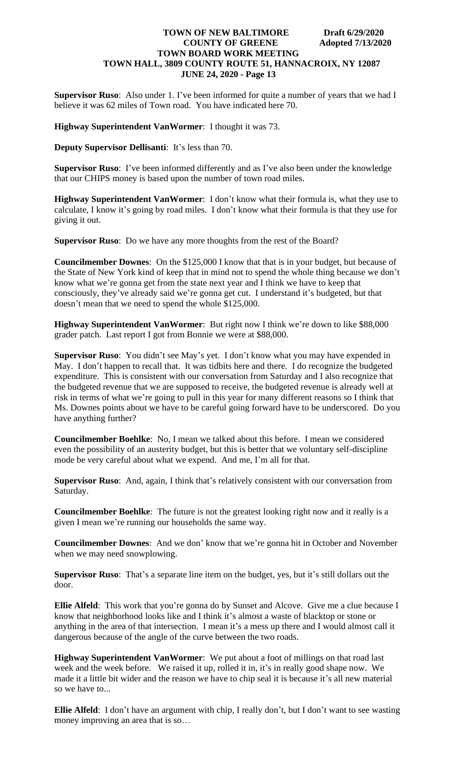**Supervisor Ruso**: Also under 1. I've been informed for quite a number of years that we had I believe it was 62 miles of Town road. You have indicated here 70.

#### **Highway Superintendent VanWormer**: I thought it was 73.

**Deputy Supervisor Dellisanti**: It's less than 70.

**Supervisor Ruso**: I've been informed differently and as I've also been under the knowledge that our CHIPS money is based upon the number of town road miles.

**Highway Superintendent VanWormer**: I don't know what their formula is, what they use to calculate, I know it's going by road miles. I don't know what their formula is that they use for giving it out.

**Supervisor Ruso**: Do we have any more thoughts from the rest of the Board?

**Councilmember Downes**: On the \$125,000 I know that that is in your budget, but because of the State of New York kind of keep that in mind not to spend the whole thing because we don't know what we're gonna get from the state next year and I think we have to keep that consciously, they've already said we're gonna get cut. I understand it's budgeted, but that doesn't mean that we need to spend the whole \$125,000.

**Highway Superintendent VanWormer**: But right now I think we're down to like \$88,000 grader patch. Last report I got from Bonnie we were at \$88,000.

**Supervisor Ruso**: You didn't see May's yet. I don't know what you may have expended in May. I don't happen to recall that. It was tidbits here and there. I do recognize the budgeted expenditure. This is consistent with our conversation from Saturday and I also recognize that the budgeted revenue that we are supposed to receive, the budgeted revenue is already well at risk in terms of what we're going to pull in this year for many different reasons so I think that Ms. Downes points about we have to be careful going forward have to be underscored. Do you have anything further?

**Councilmember Boehlke**: No, I mean we talked about this before. I mean we considered even the possibility of an austerity budget, but this is better that we voluntary self-discipline mode be very careful about what we expend. And me, I'm all for that.

**Supervisor Ruso**: And, again, I think that's relatively consistent with our conversation from Saturday.

**Councilmember Boehlke**: The future is not the greatest looking right now and it really is a given I mean we're running our households the same way.

**Councilmember Downes**: And we don' know that we're gonna hit in October and November when we may need snowplowing.

**Supervisor Ruso**: That's a separate line item on the budget, yes, but it's still dollars out the door.

**Ellie Alfeld**: This work that you're gonna do by Sunset and Alcove. Give me a clue because I know that neighborhood looks like and I think it's almost a waste of blacktop or stone or anything in the area of that intersection. I mean it's a mess up there and I would almost call it dangerous because of the angle of the curve between the two roads.

**Highway Superintendent VanWormer**: We put about a foot of millings on that road last week and the week before. We raised it up, rolled it in, it's in really good shape now. We made it a little bit wider and the reason we have to chip seal it is because it's all new material so we have to...

**Ellie Alfeld**: I don't have an argument with chip, I really don't, but I don't want to see wasting money improving an area that is so…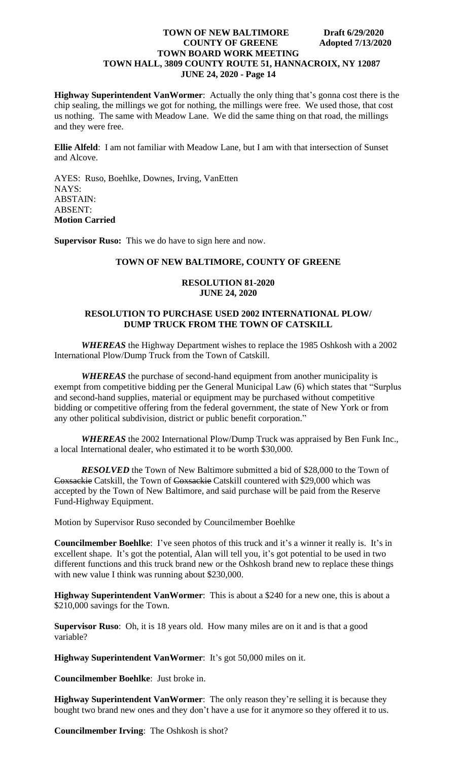**Highway Superintendent VanWormer**: Actually the only thing that's gonna cost there is the chip sealing, the millings we got for nothing, the millings were free. We used those, that cost us nothing. The same with Meadow Lane. We did the same thing on that road, the millings and they were free.

**Ellie Alfeld**: I am not familiar with Meadow Lane, but I am with that intersection of Sunset and Alcove.

AYES: Ruso, Boehlke, Downes, Irving, VanEtten NAYS: ABSTAIN: ABSENT: **Motion Carried**

**Supervisor Ruso:** This we do have to sign here and now.

### **TOWN OF NEW BALTIMORE, COUNTY OF GREENE**

#### **RESOLUTION 81-2020 JUNE 24, 2020**

#### **RESOLUTION TO PURCHASE USED 2002 INTERNATIONAL PLOW/ DUMP TRUCK FROM THE TOWN OF CATSKILL**

*WHEREAS* the Highway Department wishes to replace the 1985 Oshkosh with a 2002 International Plow/Dump Truck from the Town of Catskill.

*WHEREAS* the purchase of second-hand equipment from another municipality is exempt from competitive bidding per the General Municipal Law (6) which states that "Surplus and second-hand supplies, material or equipment may be purchased without competitive bidding or competitive offering from the federal government, the state of New York or from any other political subdivision, district or public benefit corporation."

*WHEREAS* the 2002 International Plow/Dump Truck was appraised by Ben Funk Inc., a local International dealer, who estimated it to be worth \$30,000.

*RESOLVED* the Town of New Baltimore submitted a bid of \$28,000 to the Town of Coxsackie Catskill, the Town of Coxsackie Catskill countered with \$29,000 which was accepted by the Town of New Baltimore, and said purchase will be paid from the Reserve Fund-Highway Equipment.

Motion by Supervisor Ruso seconded by Councilmember Boehlke

**Councilmember Boehlke**: I've seen photos of this truck and it's a winner it really is. It's in excellent shape. It's got the potential, Alan will tell you, it's got potential to be used in two different functions and this truck brand new or the Oshkosh brand new to replace these things with new value I think was running about \$230,000.

**Highway Superintendent VanWormer**: This is about a \$240 for a new one, this is about a \$210,000 savings for the Town.

**Supervisor Ruso**: Oh, it is 18 years old. How many miles are on it and is that a good variable?

**Highway Superintendent VanWormer**: It's got 50,000 miles on it.

**Councilmember Boehlke**: Just broke in.

**Highway Superintendent VanWormer**: The only reason they're selling it is because they bought two brand new ones and they don't have a use for it anymore so they offered it to us.

**Councilmember Irving**: The Oshkosh is shot?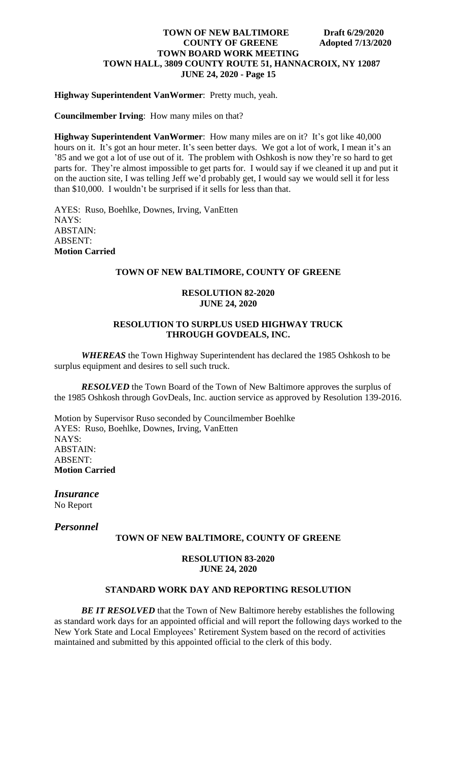## **Highway Superintendent VanWormer**: Pretty much, yeah.

**Councilmember Irving**: How many miles on that?

**Highway Superintendent VanWormer**: How many miles are on it? It's got like 40,000 hours on it. It's got an hour meter. It's seen better days. We got a lot of work, I mean it's an '85 and we got a lot of use out of it. The problem with Oshkosh is now they're so hard to get parts for. They're almost impossible to get parts for. I would say if we cleaned it up and put it on the auction site, I was telling Jeff we'd probably get, I would say we would sell it for less than \$10,000. I wouldn't be surprised if it sells for less than that.

AYES: Ruso, Boehlke, Downes, Irving, VanEtten NAYS: ABSTAIN: ABSENT: **Motion Carried**

## **TOWN OF NEW BALTIMORE, COUNTY OF GREENE**

## **RESOLUTION 82-2020 JUNE 24, 2020**

## **RESOLUTION TO SURPLUS USED HIGHWAY TRUCK THROUGH GOVDEALS, INC.**

*WHEREAS* the Town Highway Superintendent has declared the 1985 Oshkosh to be surplus equipment and desires to sell such truck.

*RESOLVED* the Town Board of the Town of New Baltimore approves the surplus of the 1985 Oshkosh through GovDeals, Inc. auction service as approved by Resolution 139-2016.

Motion by Supervisor Ruso seconded by Councilmember Boehlke AYES: Ruso, Boehlke, Downes, Irving, VanEtten NAYS: ABSTAIN: ABSENT: **Motion Carried**

*Insurance* No Report

*Personnel*

## **TOWN OF NEW BALTIMORE, COUNTY OF GREENE**

#### **RESOLUTION 83-2020 JUNE 24, 2020**

## **STANDARD WORK DAY AND REPORTING RESOLUTION**

**BE IT RESOLVED** that the Town of New Baltimore hereby establishes the following as standard work days for an appointed official and will report the following days worked to the New York State and Local Employees' Retirement System based on the record of activities maintained and submitted by this appointed official to the clerk of this body.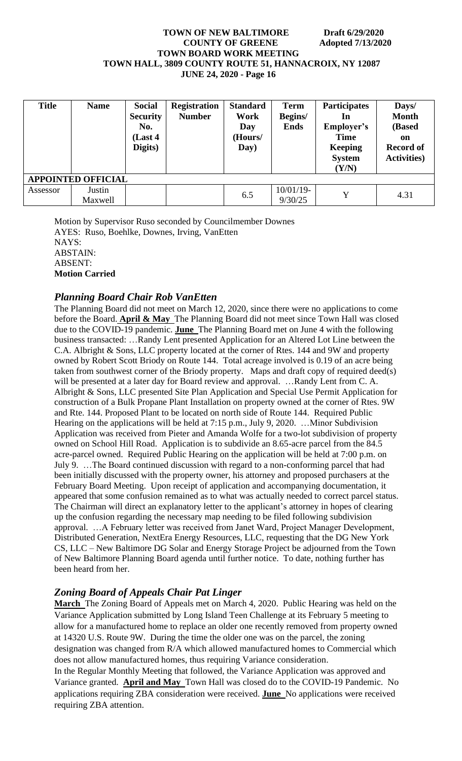| <b>Title</b>              | <b>Name</b>       | <b>Social</b><br><b>Security</b><br>No.<br>(Last 4)<br>Digits) | <b>Registration</b><br><b>Number</b> | <b>Standard</b><br>Work<br>Day<br>(Hours/<br>Day) | Term<br>Begins/<br><b>Ends</b> | <b>Participates</b><br>In<br>Employer's<br><b>Time</b><br>Keeping<br><b>System</b><br>(Y/N) | Days/<br><b>Month</b><br>(Based<br>on<br><b>Record of</b><br><b>Activities</b> ) |  |  |
|---------------------------|-------------------|----------------------------------------------------------------|--------------------------------------|---------------------------------------------------|--------------------------------|---------------------------------------------------------------------------------------------|----------------------------------------------------------------------------------|--|--|
| <b>APPOINTED OFFICIAL</b> |                   |                                                                |                                      |                                                   |                                |                                                                                             |                                                                                  |  |  |
| Assessor                  | Justin<br>Maxwell |                                                                |                                      | 6.5                                               | $10/01/19$ -<br>9/30/25        | Y                                                                                           | 4.31                                                                             |  |  |

Motion by Supervisor Ruso seconded by Councilmember Downes AYES: Ruso, Boehlke, Downes, Irving, VanEtten NAYS: ABSTAIN: ABSENT: **Motion Carried**

# *Planning Board Chair Rob VanEtten*

The Planning Board did not meet on March 12, 2020, since there were no applications to come before the Board. **April & May** The Planning Board did not meet since Town Hall was closed due to the COVID-19 pandemic. **June** The Planning Board met on June 4 with the following business transacted: …Randy Lent presented Application for an Altered Lot Line between the C.A. Albright & Sons, LLC property located at the corner of Rtes. 144 and 9W and property owned by Robert Scott Briody on Route 144. Total acreage involved is 0.19 of an acre being taken from southwest corner of the Briody property. Maps and draft copy of required deed(s) will be presented at a later day for Board review and approval. …Randy Lent from C. A. Albright & Sons, LLC presented Site Plan Application and Special Use Permit Application for construction of a Bulk Propane Plant Installation on property owned at the corner of Rtes. 9W and Rte. 144. Proposed Plant to be located on north side of Route 144. Required Public Hearing on the applications will be held at 7:15 p.m., July 9, 2020. …Minor Subdivision Application was received from Pieter and Amanda Wolfe for a two-lot subdivision of property owned on School Hill Road. Application is to subdivide an 8.65-acre parcel from the 84.5 acre-parcel owned. Required Public Hearing on the application will be held at 7:00 p.m. on July 9. …The Board continued discussion with regard to a non-conforming parcel that had been initially discussed with the property owner, his attorney and proposed purchasers at the February Board Meeting. Upon receipt of application and accompanying documentation, it appeared that some confusion remained as to what was actually needed to correct parcel status. The Chairman will direct an explanatory letter to the applicant's attorney in hopes of clearing up the confusion regarding the necessary map needing to be filed following subdivision approval. …A February letter was received from Janet Ward, Project Manager Development, Distributed Generation, NextEra Energy Resources, LLC, requesting that the DG New York CS, LLC – New Baltimore DG Solar and Energy Storage Project be adjourned from the Town of New Baltimore Planning Board agenda until further notice. To date, nothing further has been heard from her.

# *Zoning Board of Appeals Chair Pat Linger*

**March** The Zoning Board of Appeals met on March 4, 2020. Public Hearing was held on the Variance Application submitted by Long Island Teen Challenge at its February 5 meeting to allow for a manufactured home to replace an older one recently removed from property owned at 14320 U.S. Route 9W. During the time the older one was on the parcel, the zoning designation was changed from R/A which allowed manufactured homes to Commercial which does not allow manufactured homes, thus requiring Variance consideration.

In the Regular Monthly Meeting that followed, the Variance Application was approved and Variance granted. **April and May** Town Hall was closed do to the COVID-19 Pandemic. No applications requiring ZBA consideration were received. **June** No applications were received requiring ZBA attention.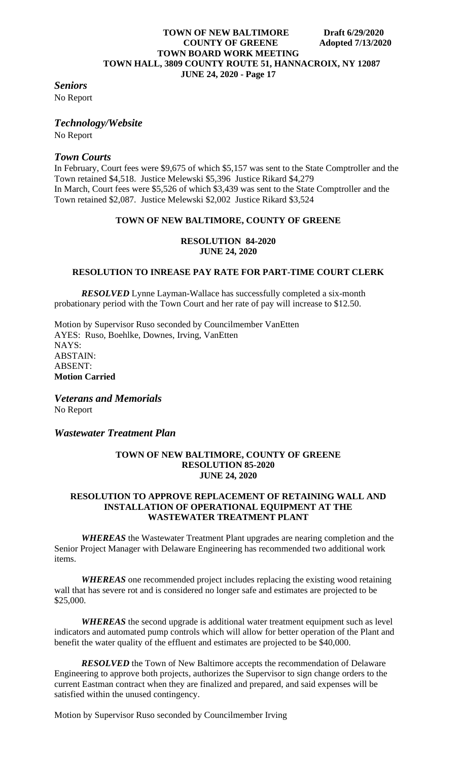## *Seniors*

No Report

## *Technology/Website*

No Report

# *Town Courts*

In February, Court fees were \$9,675 of which \$5,157 was sent to the State Comptroller and the Town retained \$4,518. Justice Melewski \$5,396 Justice Rikard \$4,279 In March, Court fees were \$5,526 of which \$3,439 was sent to the State Comptroller and the Town retained \$2,087. Justice Melewski \$2,002 Justice Rikard \$3,524

## **TOWN OF NEW BALTIMORE, COUNTY OF GREENE**

## **RESOLUTION 84-2020 JUNE 24, 2020**

## **RESOLUTION TO INREASE PAY RATE FOR PART-TIME COURT CLERK**

*RESOLVED* Lynne Layman-Wallace has successfully completed a six-month probationary period with the Town Court and her rate of pay will increase to \$12.50.

Motion by Supervisor Ruso seconded by Councilmember VanEtten AYES: Ruso, Boehlke, Downes, Irving, VanEtten NAYS: ABSTAIN: ABSENT: **Motion Carried**

*Veterans and Memorials* No Report

*Wastewater Treatment Plan*

#### **TOWN OF NEW BALTIMORE, COUNTY OF GREENE RESOLUTION 85-2020 JUNE 24, 2020**

### **RESOLUTION TO APPROVE REPLACEMENT OF RETAINING WALL AND INSTALLATION OF OPERATIONAL EQUIPMENT AT THE WASTEWATER TREATMENT PLANT**

*WHEREAS* the Wastewater Treatment Plant upgrades are nearing completion and the Senior Project Manager with Delaware Engineering has recommended two additional work items.

*WHEREAS* one recommended project includes replacing the existing wood retaining wall that has severe rot and is considered no longer safe and estimates are projected to be \$25,000.

*WHEREAS* the second upgrade is additional water treatment equipment such as level indicators and automated pump controls which will allow for better operation of the Plant and benefit the water quality of the effluent and estimates are projected to be \$40,000.

**RESOLVED** the Town of New Baltimore accepts the recommendation of Delaware Engineering to approve both projects, authorizes the Supervisor to sign change orders to the current Eastman contract when they are finalized and prepared, and said expenses will be satisfied within the unused contingency.

Motion by Supervisor Ruso seconded by Councilmember Irving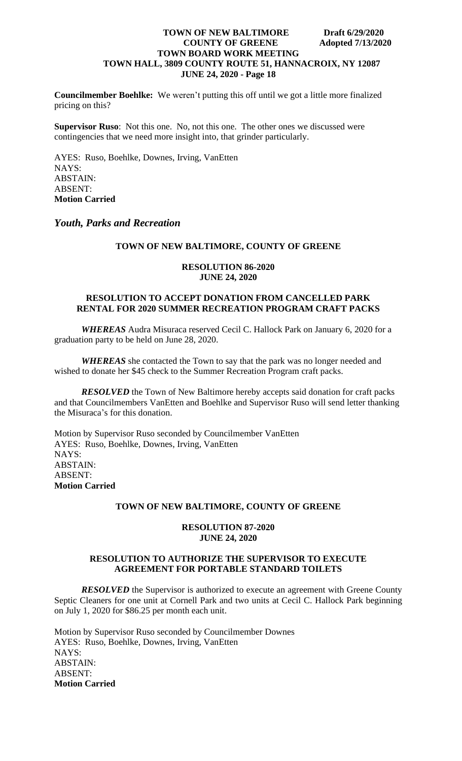**Councilmember Boehlke:** We weren't putting this off until we got a little more finalized pricing on this?

**Supervisor Ruso**: Not this one. No, not this one. The other ones we discussed were contingencies that we need more insight into, that grinder particularly.

AYES: Ruso, Boehlke, Downes, Irving, VanEtten NAYS: ABSTAIN: ABSENT: **Motion Carried**

*Youth, Parks and Recreation*

#### **TOWN OF NEW BALTIMORE, COUNTY OF GREENE**

#### **RESOLUTION 86-2020 JUNE 24, 2020**

## **RESOLUTION TO ACCEPT DONATION FROM CANCELLED PARK RENTAL FOR 2020 SUMMER RECREATION PROGRAM CRAFT PACKS**

*WHEREAS* Audra Misuraca reserved Cecil C. Hallock Park on January 6, 2020 for a graduation party to be held on June 28, 2020.

*WHEREAS* she contacted the Town to say that the park was no longer needed and wished to donate her \$45 check to the Summer Recreation Program craft packs.

*RESOLVED* the Town of New Baltimore hereby accepts said donation for craft packs and that Councilmembers VanEtten and Boehlke and Supervisor Ruso will send letter thanking the Misuraca's for this donation.

Motion by Supervisor Ruso seconded by Councilmember VanEtten AYES: Ruso, Boehlke, Downes, Irving, VanEtten NAYS: ABSTAIN: ABSENT: **Motion Carried**

#### **TOWN OF NEW BALTIMORE, COUNTY OF GREENE**

#### **RESOLUTION 87-2020 JUNE 24, 2020**

## **RESOLUTION TO AUTHORIZE THE SUPERVISOR TO EXECUTE AGREEMENT FOR PORTABLE STANDARD TOILETS**

*RESOLVED* the Supervisor is authorized to execute an agreement with Greene County Septic Cleaners for one unit at Cornell Park and two units at Cecil C. Hallock Park beginning on July 1, 2020 for \$86.25 per month each unit.

Motion by Supervisor Ruso seconded by Councilmember Downes AYES: Ruso, Boehlke, Downes, Irving, VanEtten NAYS: ABSTAIN: ABSENT: **Motion Carried**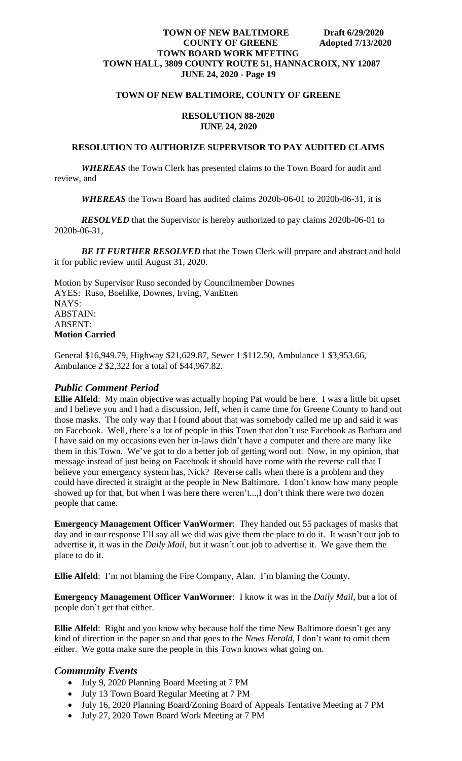## **TOWN OF NEW BALTIMORE, COUNTY OF GREENE**

## **RESOLUTION 88-2020 JUNE 24, 2020**

#### **RESOLUTION TO AUTHORIZE SUPERVISOR TO PAY AUDITED CLAIMS**

*WHEREAS* the Town Clerk has presented claims to the Town Board for audit and review, and

*WHEREAS* the Town Board has audited claims 2020b-06-01 to 2020b-06-31, it is

*RESOLVED* that the Supervisor is hereby authorized to pay claims 2020b-06-01 to 2020b-06-31,

**BE IT FURTHER RESOLVED** that the Town Clerk will prepare and abstract and hold it for public review until August 31, 2020.

Motion by Supervisor Ruso seconded by Councilmember Downes AYES: Ruso, Boehlke, Downes, Irving, VanEtten NAYS: ABSTAIN: ABSENT: **Motion Carried**

General \$16,949.79, Highway \$21,629.87, Sewer 1 \$112.50, Ambulance 1 \$3,953.66, Ambulance 2 \$2,322 for a total of \$44,967.82.

## *Public Comment Period*

**Ellie Alfeld**: My main objective was actually hoping Pat would be here. I was a little bit upset and I believe you and I had a discussion, Jeff, when it came time for Greene County to hand out those masks. The only way that I found about that was somebody called me up and said it was on Facebook. Well, there's a lot of people in this Town that don't use Facebook as Barbara and I have said on my occasions even her in-laws didn't have a computer and there are many like them in this Town. We've got to do a better job of getting word out. Now, in my opinion, that message instead of just being on Facebook it should have come with the reverse call that I believe your emergency system has, Nick? Reverse calls when there is a problem and they could have directed it straight at the people in New Baltimore. I don't know how many people showed up for that, but when I was here there weren't...,I don't think there were two dozen people that came.

**Emergency Management Officer VanWormer**: They handed out 55 packages of masks that day and in our response I'll say all we did was give them the place to do it. It wasn't our job to advertise it, it was in the *Daily Mail*, but it wasn't our job to advertise it. We gave them the place to do it.

**Ellie Alfeld**: I'm not blaming the Fire Company, Alan. I'm blaming the County.

**Emergency Management Officer VanWormer**: I know it was in the *Daily Mail*, but a lot of people don't get that either.

**Ellie Alfeld**: Right and you know why because half the time New Baltimore doesn't get any kind of direction in the paper so and that goes to the *News Herald*, I don't want to omit them either. We gotta make sure the people in this Town knows what going on.

## *Community Events*

- July 9, 2020 Planning Board Meeting at 7 PM
- July 13 Town Board Regular Meeting at 7 PM
- July 16, 2020 Planning Board/Zoning Board of Appeals Tentative Meeting at 7 PM
- July 27, 2020 Town Board Work Meeting at 7 PM